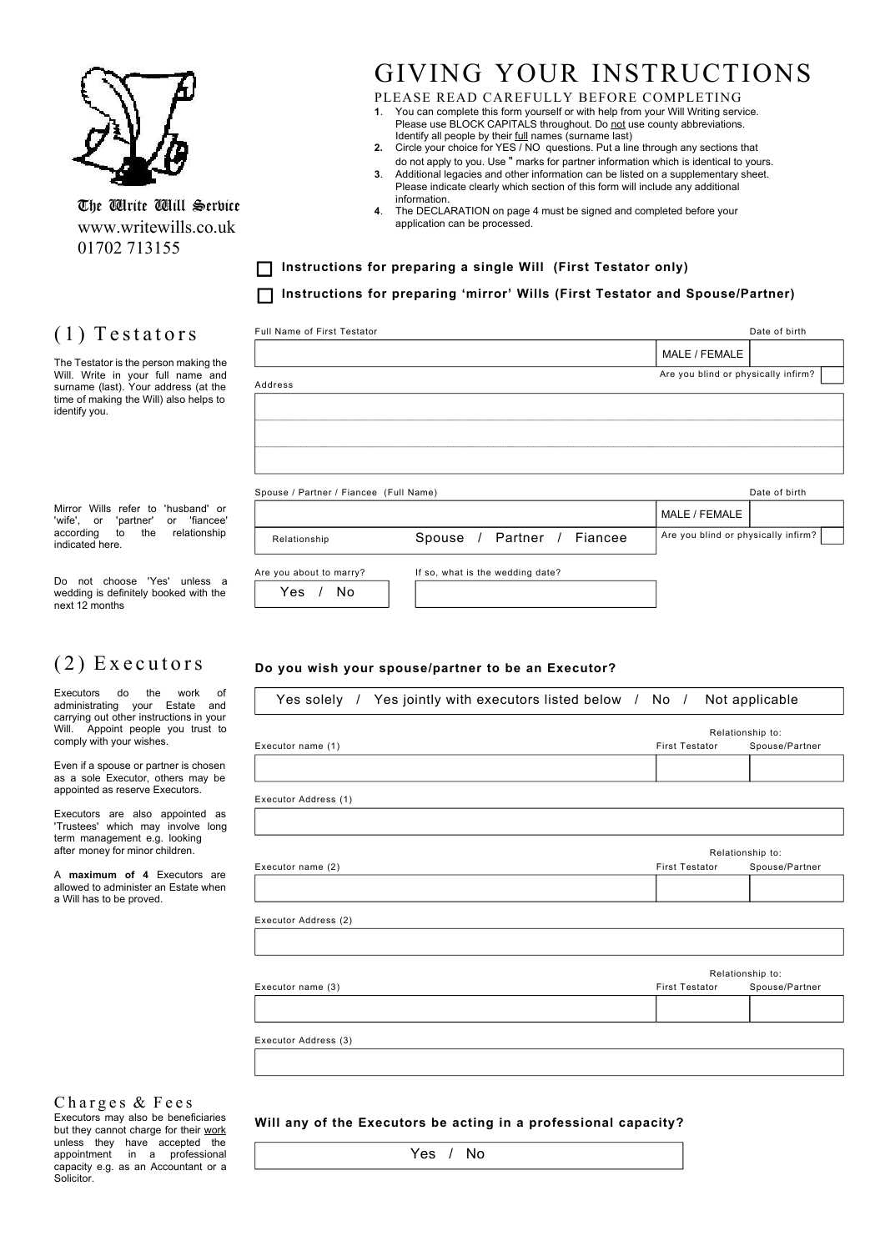

The Wirite Will Service www.writewills.co.uk 01702 713155

Full Name of First Testator

# GIVING YOUR INSTRUCTIONS

Date of birth

MALE / FEMALE

#### PLEASE READ CAREFULLY BEFORE COMPLETING **1**. You can complete this form yourself or with help from your Will Writing service.

- Please use BLOCK CAPITALS throughout. Do not use county abbreviations. Identify all people by their *full* names (surname last) **2.** Circle your choice for YES / NO questions. Put a line through any sections that
- do not apply to you. Use " marks for partner information which is identical to yours. **3**. Additional legacies and other information can be listed on a supplementary sheet.
- Please indicate clearly which section of this form will include any additional information.
- **4**. The DECLARATION on page 4 must be signed and completed before your application can be processed.

**Instructions for preparing a single Will (First Testator only) Instructions for preparing 'mirror' Wills (First Testator and Spouse/Partner)**

## $(1)$  Testators

The Testator is the person making the Will. Write in your full name and surname (last). Your address (at the time of making the Will) also helps to identify you.

Mirror Wills refer to 'husband' or<br>'wife', or 'partner' or 'fiancee' 'wife', or 'partner' according to the relationship indicated here.

Do not choose 'Yes' unless a wedding is definitely booked with the next 12 months

### $(2)$  Executors

Executors do the work of administrating your Estate and carrying out other instructions in your<br>Will Appoint people you trust to Appoint people you trust to comply with your wishes.

Even if a spouse or partner is chosen as a sole Executor, others may be appointed as reserve Executors.

Executors are also appointed as 'Trustees' which may involve long term management e.g. looking after money for minor children.

A **maximum of 4** Executors are allowed to administer an Estate when a Will has to be proved.

|                                        |                                  | Are you blind or physically infirm? |               |
|----------------------------------------|----------------------------------|-------------------------------------|---------------|
| Address                                |                                  |                                     |               |
|                                        |                                  |                                     |               |
|                                        |                                  |                                     |               |
|                                        |                                  |                                     |               |
|                                        |                                  |                                     |               |
|                                        |                                  |                                     |               |
| Spouse / Partner / Fiancee (Full Name) |                                  |                                     | Date of birth |
|                                        |                                  | MALE / FEMALE                       |               |
|                                        |                                  |                                     |               |
| Relationship                           | Spouse / Partner / Fiancee       | Are you blind or physically infirm? |               |
|                                        |                                  |                                     |               |
| Are you about to marry?                | If so, what is the wedding date? |                                     |               |
|                                        |                                  |                                     |               |

### **Do you wish your spouse/partner to be an Executor?**

| Yes solely / Yes jointly with executors listed below / No / Not applicable |                       |                  |
|----------------------------------------------------------------------------|-----------------------|------------------|
|                                                                            |                       | Relationship to: |
| Executor name (1)                                                          | <b>First Testator</b> | Spouse/Partner   |
|                                                                            |                       |                  |
|                                                                            |                       |                  |
| Executor Address (1)                                                       |                       |                  |
|                                                                            |                       |                  |
|                                                                            |                       | Relationship to: |
| Executor name (2)                                                          | <b>First Testator</b> | Spouse/Partner   |
|                                                                            |                       |                  |
|                                                                            |                       |                  |
| Executor Address (2)                                                       |                       |                  |
|                                                                            |                       |                  |
|                                                                            |                       |                  |
|                                                                            |                       | Relationship to: |
| Executor name (3)                                                          | <b>First Testator</b> | Spouse/Partner   |
|                                                                            |                       |                  |
|                                                                            |                       |                  |
| Executor Address (3)                                                       |                       |                  |
|                                                                            |                       |                  |
|                                                                            |                       |                  |
|                                                                            |                       |                  |

#### Charges & Fees

Executors may also be beneficiaries but they cannot charge for their work unless they have accepted the<br>appointment in a professional in a professional capacity e.g. as an Accountant or a Solicitor.

**Will any of the Executors be acting in a professional capacity?**

Yes / No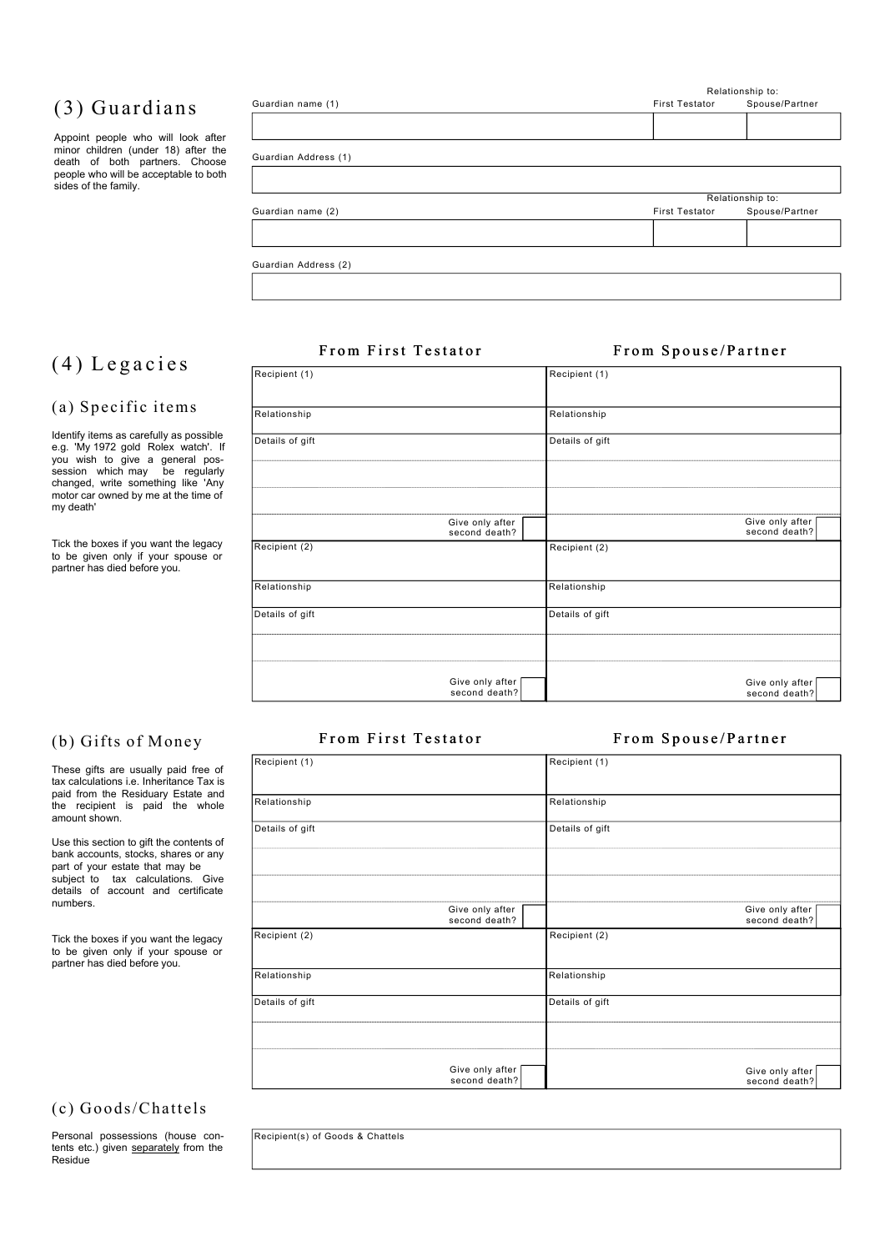## (3) Guardians

Appoint people who will look after minor children (under 18) after the death of both partners. Choose people who will be acceptable to both sides of the family.

| <b>First Testator</b> | Spouse/Partner   |
|-----------------------|------------------|
|                       |                  |
|                       |                  |
|                       |                  |
|                       |                  |
|                       |                  |
|                       | Relationship to: |
| <b>First Testator</b> | Spouse/Partner   |
|                       |                  |
|                       |                  |
|                       |                  |

## $(4)$  Legacies

#### (a) Specific items

Identify items as carefully as possible e.g. 'My 1972 gold Rolex watch'. If you wish to give a general pos-session which may be regularly changed, write something like 'Any motor car owned by me at the time of my death'

Tick the boxes if you want the legacy to be given only if your spouse or partner has died before you.

| Recipient (1)   |                                  | Recipient (1)   |                                  |
|-----------------|----------------------------------|-----------------|----------------------------------|
| Relationship    |                                  | Relationship    |                                  |
| Details of gift |                                  | Details of gift |                                  |
|                 |                                  |                 |                                  |
|                 |                                  |                 |                                  |
|                 | Give only after<br>second death? |                 | Give only after<br>second death? |
| Recipient (2)   |                                  | Recipient (2)   |                                  |
| Relationship    |                                  | Relationship    |                                  |
| Details of gift |                                  | Details of gift |                                  |
|                 |                                  |                 |                                  |
|                 | Give only after<br>second death? |                 | Give only after<br>second death? |

#### From First Testator

#### From Spouse/Partner

| Recipient (1)   |                                    | Recipient (1)   |                                  |
|-----------------|------------------------------------|-----------------|----------------------------------|
| Relationship    |                                    | Relationship    |                                  |
| Details of gift |                                    | Details of gift |                                  |
|                 |                                    |                 |                                  |
|                 |                                    |                 |                                  |
|                 | Give only after<br>second death?   |                 | Give only after<br>second death? |
| Recipient (2)   |                                    | Recipient (2)   |                                  |
| Relationship    |                                    | Relationship    |                                  |
| Details of gift |                                    | Details of gift |                                  |
|                 |                                    |                 |                                  |
|                 | Give only after [<br>second death? |                 | Give only after<br>second death? |

### (c) Goods/Chattels

Personal possessions (house contents etc.) given separately from the Residue

From First Testator

#### From Spouse/Partner

Relationship to:

### (b) Gifts of Money

These gifts are usually paid free of tax calculations i.e. Inheritance Tax is paid from the Residuary Estate and the recipient is paid the whole amount shown.

Use this section to gift the contents of bank accounts, stocks, shares or any part of your estate that may be subject to tax calculations. Give details of account and certificate numbers.

Tick the boxes if you want the legacy to be given only if your spouse or partner has died before you.

Recipient(s) of Goods & Chattels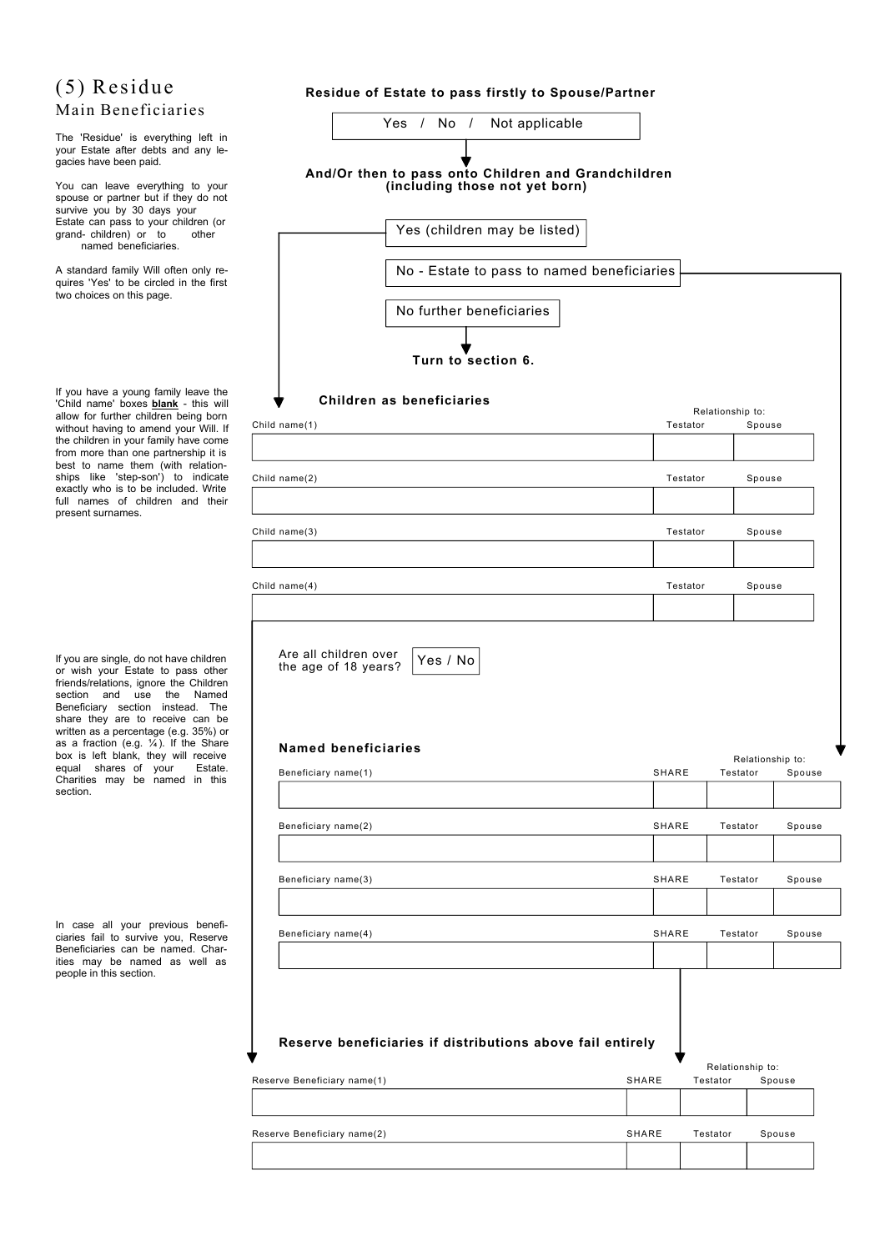### (5) Residue Main Beneficiaries

The 'Residue' is everything left in your Estate after debts and any legacies have been paid.

You can leave everything to your spouse or partner but if they do not survive you by 30 days your Estate can pass to your children (or grand- children) or to other named beneficiaries.

A standard family Will often only requires 'Yes' to be circled in the first two choices on this page.

If you have a young family leave the 'Child name' boxes **blank** - this will allow for further children being born without having to amend your Will. If the children in your family have come from more than one partnership it is best to name them (with relationships like 'step-son') to indicate exactly who is to be included. Write full names of children and their present surnames.

If you are single, do not have children or wish your Estate to pass other friends/relations, ignore the Children section and use the Named Beneficiary section instead. The share they are to receive can be written as a percentage (e.g. 35%) or as a fraction (e.g. ¼ ). If the Share box is left blank, they will receive equal shares of your Estate. Charities may be named in this section.

In case all your previous beneficiaries fail to survive you, Reserve Beneficiaries can be named. Charities may be named as well as people in this section.

### **Residue of Estate to pass firstly to Spouse/Partner**

| Yes / No / Not applicable                                                             |       |                              |                  |                 |
|---------------------------------------------------------------------------------------|-------|------------------------------|------------------|-----------------|
| And/Or then to pass onto Children and Grandchildren<br>(including those not yet born) |       |                              |                  |                 |
| Yes (children may be listed)                                                          |       |                              |                  |                 |
| No - Estate to pass to named beneficiaries                                            |       |                              |                  |                 |
| No further beneficiaries                                                              |       |                              |                  |                 |
| Turn to section 6.                                                                    |       |                              |                  |                 |
| Children as beneficiaries<br>Child name(1)                                            |       | Relationship to:<br>Testator | Spouse           |                 |
|                                                                                       |       |                              |                  |                 |
| Child name(2)                                                                         |       | Testator                     | Spouse           |                 |
| Child name(3)                                                                         |       | Testator                     | Spouse           |                 |
| Child name(4)                                                                         |       | Testator                     | Spouse           |                 |
|                                                                                       |       |                              |                  |                 |
| Yes / No<br>the age of 18 years?<br><b>Named beneficiaries</b>                        |       |                              |                  |                 |
| Beneficiary name(1)                                                                   | SHARE |                              | Relationship to: | Testator Spouse |
|                                                                                       |       |                              |                  |                 |
| Beneficiary name(2)                                                                   | SHARE |                              | Testator         | Spouse          |
| Beneficiary name(3)                                                                   | SHARE |                              | Testator         | Spouse          |
| Beneficiary name(4)                                                                   | SHARE |                              | Testator         | Spouse          |
| Reserve beneficiaries if distributions above fail entirely                            |       |                              |                  |                 |
| Reserve Beneficiary name(1)                                                           | SHARE | Testator                     | Relationship to: | Spouse          |
|                                                                                       |       |                              |                  |                 |
| Reserve Beneficiary name(2)                                                           | SHARE | Testator                     |                  | Spouse          |
|                                                                                       |       |                              |                  |                 |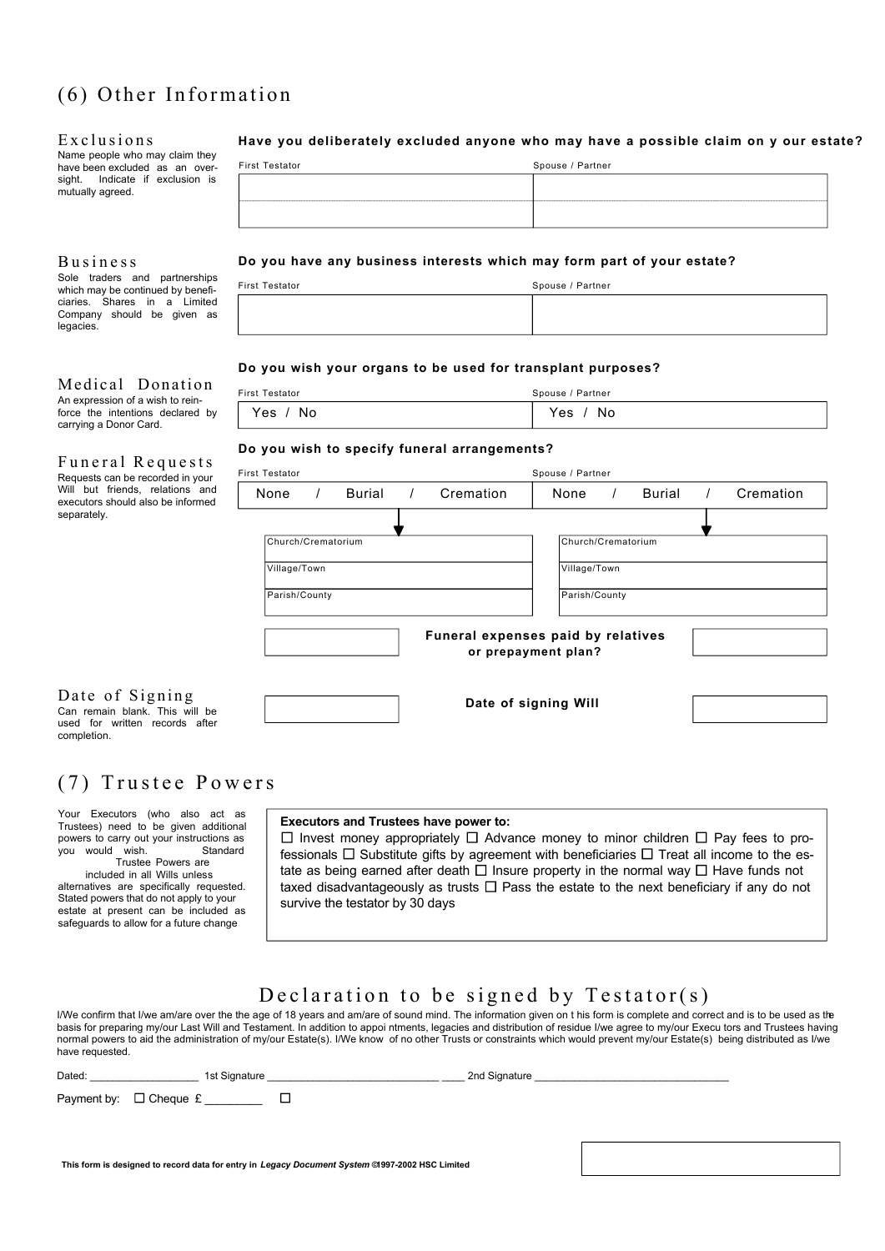## $(6)$  Other Information

#### Exclusions

Name people who may claim they have been excluded as an oversight. Indicate if exclusion is mutually agreed.

#### **Business**

Sole traders and partnerships which may be continued by beneficiaries. Shares in a Limited Company should be given as legacies.

#### Medical Donation

| An expression of a wish to rein- |  |                                  |  |  |  |  |  |  |
|----------------------------------|--|----------------------------------|--|--|--|--|--|--|
|                                  |  | force the intentions declared by |  |  |  |  |  |  |
| carrying a Donor Card.           |  |                                  |  |  |  |  |  |  |

Funeral Requests Requests can be recorded in your Will but friends, relations and executors should also be informed separately.

#### Date of Signing Can remain blank. This will be

used for written records after completion.

### (7) Trustee Powers

Your Executors (who also act as Trustees) need to be given additional powers to carry out your instructions as<br>vou would wish. Standard you would wish.

 Trustee Powers are included in all Wills unless alternatives are specifically requested. Stated powers that do not apply to your estate at present can be included as safeguards to allow for a future change

#### **Have you deliberately excluded anyone who may have a possible claim on y our estate?**

| First Testator                                                                                                      | Spouse / Partner |
|---------------------------------------------------------------------------------------------------------------------|------------------|
|                                                                                                                     |                  |
| and the contract of the contract of the contract of the contract of the contract of the contract of the contract of |                  |
|                                                                                                                     |                  |
|                                                                                                                     |                  |

#### **Do you have any business interests which may form part of your estate?**

| First Testator | Spouse / Partner |
|----------------|------------------|
|                |                  |

#### **Do you wish your organs to be used for transplant purposes?**

| First Testator | Spouse / Partner |
|----------------|------------------|
| Yes / No       | Yes<br>/ No      |

#### **Do you wish to specify funeral arrangements?**

| First Testator     | Spouse / Partner |          |  |                                                           |                    |            |          |  |           |
|--------------------|------------------|----------|--|-----------------------------------------------------------|--------------------|------------|----------|--|-----------|
| None               | $\prime$         | Burial / |  | Cremation                                                 | None               | $\sqrt{2}$ | Burial / |  | Cremation |
|                    |                  |          |  |                                                           |                    |            |          |  |           |
| Church/Crematorium |                  |          |  |                                                           | Church/Crematorium |            |          |  |           |
| Village/Town       |                  |          |  |                                                           | Village/Town       |            |          |  |           |
| Parish/County      |                  |          |  |                                                           | Parish/County      |            |          |  |           |
|                    |                  |          |  | Funeral expenses paid by relatives<br>or prepayment plan? |                    |            |          |  |           |
|                    |                  |          |  | Date of signing Will                                      |                    |            |          |  |           |

#### **Executors and Trustees have power to:**

 $\Box$  Invest money appropriately  $\Box$  Advance money to minor children  $\Box$  Pay fees to professionals  $\Box$  Substitute gifts by agreement with beneficiaries  $\Box$  Treat all income to the estate as being earned after death  $\Box$  Insure property in the normal way  $\Box$  Have funds not taxed disadvantageously as trusts  $\Box$  Pass the estate to the next beneficiary if any do not survive the testator by 30 days

### Declaration to be signed by  $Testator(s)$

I/We confirm that I/we am/are over the the age of 18 years and am/are of sound mind. The information given on t his form is complete and correct and is to be used as the basis for preparing my/our Last Will and Testament. In addition to appoi ntments, legacies and distribution of residue I/we agree to my/our Execu tors and Trustees having normal powers to aid the administration of my/our Estate(s). I/We know of no other Trusts or constraints which would prevent my/our Estate(s) being distributed as I/we have requested.

| Dated: | 1st Signature                      |   | 2nd Signature |  |
|--------|------------------------------------|---|---------------|--|
|        | Payment by: $\Box$ Cheque £ ______ | ப |               |  |
|        |                                    |   |               |  |
|        |                                    |   |               |  |

**This form is designed to record data for entry in** *Legacy Document System* **© 1997-2002 HSC Limited**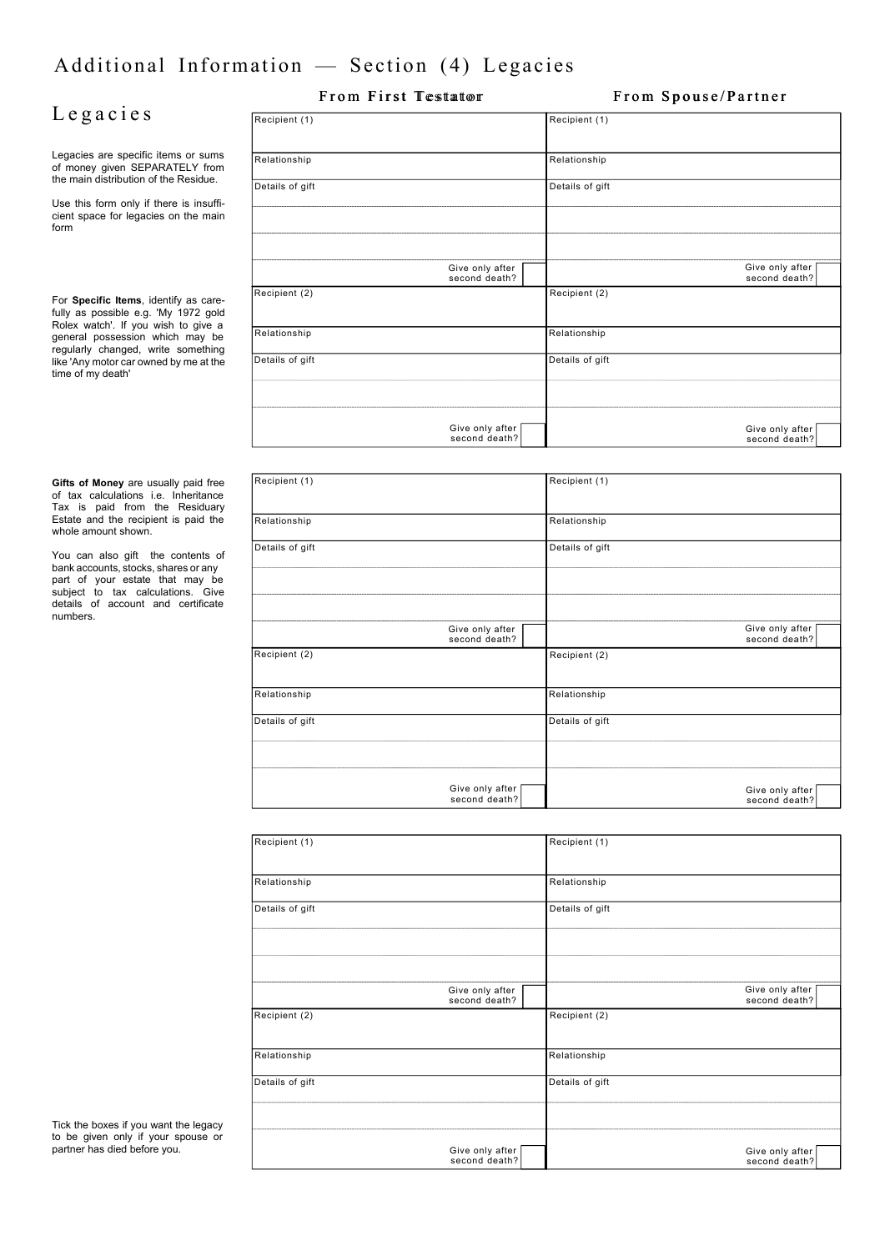# Additional Information — Section (4) Legacies

## L e g a c i e s

Legacies are specific items or sums of money given SEPARATELY from the main distribution of the Residue.

Use this form only if there is insufficient space for legacies on the main form

For **Specific Items**, identify as carefully as possible e.g. 'My 1972 gold Rolex watch'. If you wish to give a general possession which may be regularly changed, write something like 'Any motor car owned by me at the time of my death'

**Gifts of Money** are usually paid free of tax calculations i.e. Inheritance Tax is paid from the Residuary Estate and the recipient is paid the whole amount shown

You can also gift the contents of bank accounts, stocks, shares or any part of your estate that may be subject to tax calculations. Give details of account and certificate numbers.

| Recipient (1)   |                                  | Recipient (1)   |                                  |
|-----------------|----------------------------------|-----------------|----------------------------------|
| Relationship    |                                  | Relationship    |                                  |
| Details of gift |                                  | Details of gift |                                  |
|                 |                                  |                 |                                  |
|                 |                                  |                 |                                  |
|                 | Give only after<br>second death? |                 | Give only after<br>second death? |
| Recipient (2)   |                                  | Recipient (2)   |                                  |
| Relationship    |                                  | Relationship    |                                  |
| Details of gift |                                  | Details of gift |                                  |
|                 |                                  |                 |                                  |
|                 | Give only after<br>second death? |                 | Give only after<br>second death? |

From First Testator From Spouse/Partner

| Recipient (1)   |                                  | Recipient (1)   |                                  |
|-----------------|----------------------------------|-----------------|----------------------------------|
| Relationship    |                                  | Relationship    |                                  |
| Details of gift |                                  | Details of gift |                                  |
|                 |                                  |                 |                                  |
|                 | Give only after<br>second death? |                 | Give only after<br>second death? |
| Recipient (2)   |                                  | Recipient (2)   |                                  |
| Relationship    |                                  | Relationship    |                                  |
| Details of gift |                                  | Details of gift |                                  |
|                 |                                  |                 |                                  |
|                 | Give only after<br>second death? |                 | Give only after<br>second death? |

| Recipient (1)   |                                  | Recipient (1)   |                                  |
|-----------------|----------------------------------|-----------------|----------------------------------|
|                 |                                  |                 |                                  |
| Relationship    |                                  | Relationship    |                                  |
| Details of gift |                                  | Details of gift |                                  |
|                 |                                  |                 |                                  |
|                 |                                  |                 |                                  |
|                 | Give only after<br>second death? |                 | Give only after<br>second death? |
| Recipient (2)   |                                  | Recipient (2)   |                                  |
| Relationship    |                                  | Relationship    |                                  |
| Details of gift |                                  | Details of gift |                                  |
|                 |                                  |                 |                                  |
|                 | Give only after<br>second death? |                 | Give only after<br>second death? |

Tick the boxes if you want the legacy to be given only if your spouse or partner has died before you.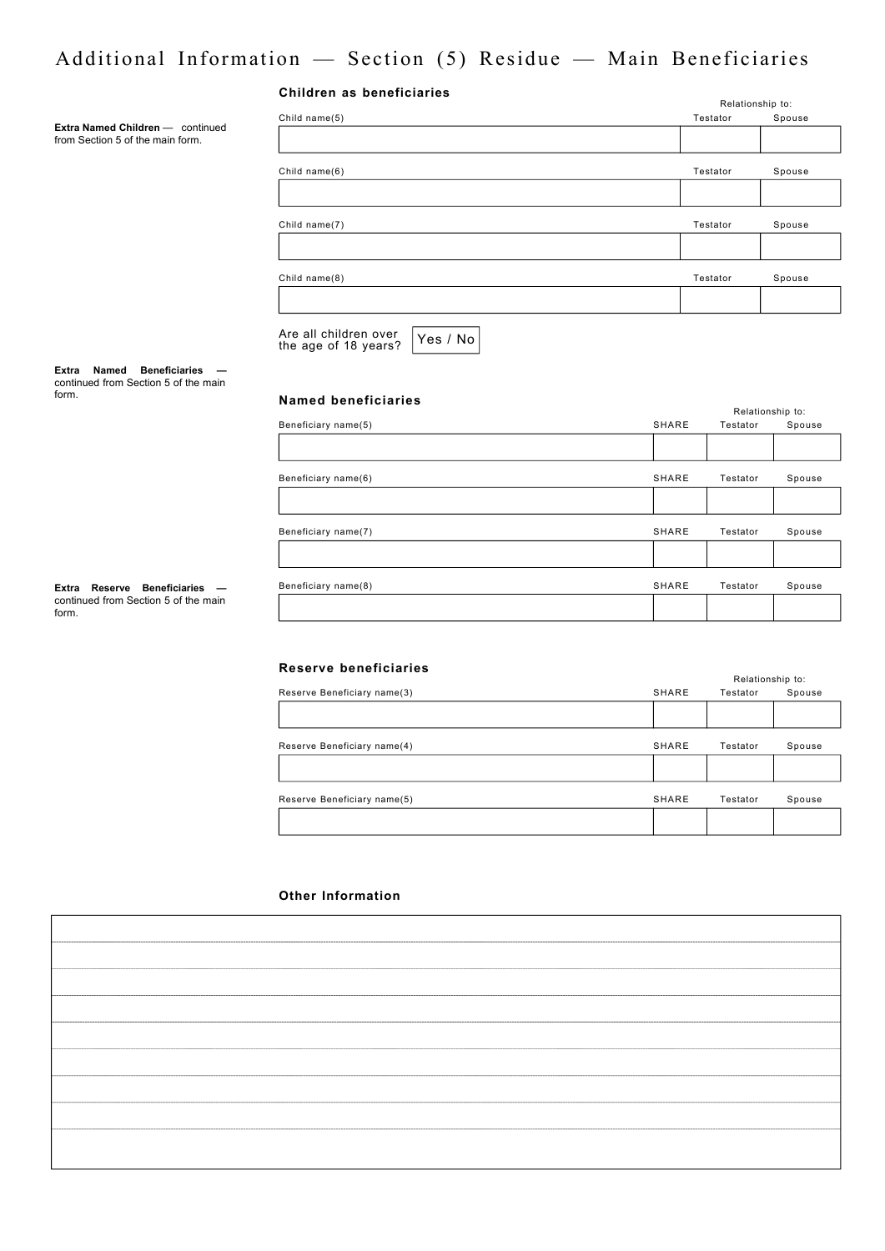## Additional Information — Section (5) Residue — Main Beneficiaries

| Children as beneficiaries |  |  |  |
|---------------------------|--|--|--|
|---------------------------|--|--|--|

**Extra Named Children** — continued from Section 5 of the main form.

|                                                           |          | Relationship to: |
|-----------------------------------------------------------|----------|------------------|
| Child name(5)                                             | Testator | Spouse           |
|                                                           |          |                  |
| Child name(6)                                             | Testator | Spouse           |
|                                                           |          |                  |
| Child name(7)                                             | Testator | Spouse           |
|                                                           |          |                  |
| Child name(8)                                             | Testator | Spouse           |
|                                                           |          |                  |
| Are all children over<br>Yes / No<br>the age of 18 years? |          |                  |

**Extra Named Beneficiaries**  continued from Section 5 of the main form.

**Extra Reserve Beneficiaries**  continued from Section 5 of the main form.

#### **Named beneficiaries**

|       |          | Relationship to: |  |  |
|-------|----------|------------------|--|--|
| SHARE | Testator | Spouse           |  |  |
|       |          |                  |  |  |
| SHARE | Testator | Spouse           |  |  |
|       |          |                  |  |  |
| SHARE | Testator | Spouse           |  |  |
|       |          |                  |  |  |
| SHARE | Testator | Spouse           |  |  |
|       |          |                  |  |  |
|       |          |                  |  |  |

#### **Reserve beneficiaries**

|                             |       | Relationship to: |        |
|-----------------------------|-------|------------------|--------|
| Reserve Beneficiary name(3) | SHARE | Testator         | Spouse |
|                             |       |                  |        |
| Reserve Beneficiary name(4) | SHARE | Testator         | Spouse |
|                             |       |                  |        |
| Reserve Beneficiary name(5) | SHARE | Testator         | Spouse |
|                             |       |                  |        |

#### **Other Information**